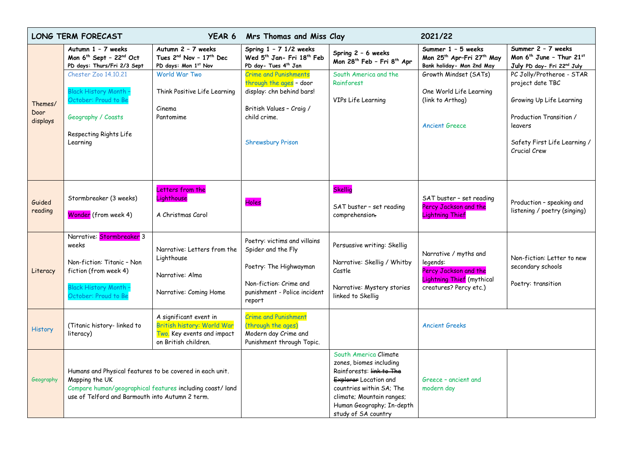| <b>LONG TERM FORECAST</b><br>YEAR 6 |                                                                                                                                                                                           | Mrs Thomas and Miss Clay                                                                                   |                                                                                                                                                              | 2021/22                                                                                                                                                                                                            |                                                                                                                   |                                                                                                                                                                 |
|-------------------------------------|-------------------------------------------------------------------------------------------------------------------------------------------------------------------------------------------|------------------------------------------------------------------------------------------------------------|--------------------------------------------------------------------------------------------------------------------------------------------------------------|--------------------------------------------------------------------------------------------------------------------------------------------------------------------------------------------------------------------|-------------------------------------------------------------------------------------------------------------------|-----------------------------------------------------------------------------------------------------------------------------------------------------------------|
|                                     | Autumn 1 - 7 weeks<br>Mon 6 <sup>th</sup> Sept - 22 <sup>nd</sup> Oct<br>PD days: Thurs/Fri 2/3 Sept                                                                                      | Autumn 2 - 7 weeks<br>Tues 2nd Nov - 17th Dec<br>PD days: Mon 1st Nov                                      | Spring $1 - 7$ $1/2$ weeks<br>Wed 5th Jan- Fri 18th Feb<br>PD day- Tues 4th Jan                                                                              | Spring 2 - 6 weeks<br>Mon 28 <sup>th</sup> Feb - Fri 8 <sup>th</sup> Apr                                                                                                                                           | Summer 1 - 5 weeks<br>Mon 25 <sup>th</sup> Apr-Fri 27 <sup>th</sup> May<br>Bank holiday- Mon 2nd May              | Summer 2 - 7 weeks<br>Mon 6 <sup>th</sup> June - Thur 21st<br>July PD day- Fri 22nd July                                                                        |
| Themes/<br>Door<br>displays         | Chester Zoo 14.10.21<br><b>Black History Month -</b><br>October: Proud to Be<br>Geography / Coasts<br>Respecting Rights Life<br>Learning                                                  | World War Two<br>Think Positive Life Learning<br>Cinema<br>Pantomime                                       | <b>Crime and Punishments</b><br>through the ages - door<br>display: chn behind bars!<br>British Values - Craig /<br>child crime.<br><b>Shrewsbury Prison</b> | South America and the<br>Rainforest<br>VIPs Life Learning                                                                                                                                                          | Growth Mindset (SATs)<br>One World Life Learning<br>(link to Arthog)<br><b>Ancient Greece</b>                     | PC Jolly/Protheroe - STAR<br>project date TBC<br>Growing Up Life Learning<br>Production Transition /<br>leavers<br>Safety First Life Learning /<br>Crucial Crew |
| Guided<br>reading                   | Stormbreaker (3 weeks)<br>Wonder (from week 4)                                                                                                                                            | Letters from the<br>Lighthouse<br>A Christmas Carol                                                        | Holes                                                                                                                                                        | <b>Skellig</b><br>SAT buster - set reading<br>comprehension.                                                                                                                                                       | SAT buster - set reading<br>Percy Jackson and the<br><b>Lightning Thief</b>                                       | Production - speaking and<br>listening / poetry (singing)                                                                                                       |
| Literacy                            | Narrative: Stormbreaker 3<br>weeks<br>Non-fiction: Titanic - Non<br>fiction (from week 4)<br><b>Black History Month -</b><br>October: Proud to Be                                         | Narrative: Letters from the<br>Lighthouse<br>Narrative: Alma<br>Narrative: Coming Home                     | Poetry: victims and villains<br>Spider and the Fly<br>Poetry: The Highwayman<br>Non-fiction: Crime and<br>punishment - Police incident<br>report             | Persuasive writing: Skellig<br>Narrative: Skellig / Whitby<br>Castle<br>Narrative: Mystery stories<br>linked to Skellig                                                                                            | Narrative / myths and<br>legends:<br>Percy Jackson and the<br>Lightning Thief (mythical<br>creatures? Percy etc.) | Non-fiction: Letter to new<br>secondary schools<br>Poetry: transition                                                                                           |
| <b>History</b>                      | (Titanic history-linked to<br>literacy)                                                                                                                                                   | A significant event in<br>British history: World War<br>Two. Key events and impact<br>on British children. | <b>Crime and Punishment</b><br>(through the ages)<br>Modern day Crime and<br>Punishment through Topic.                                                       |                                                                                                                                                                                                                    | <b>Ancient Greeks</b>                                                                                             |                                                                                                                                                                 |
| Geography                           | Humans and Physical features to be covered in each unit.<br>Mapping the UK<br>Compare human/geographical features including coast/land<br>use of Telford and Barmouth into Autumn 2 term. |                                                                                                            |                                                                                                                                                              | South America Climate<br>zones, biomes including<br>Rainforests: link to The<br>Explorer Location and<br>countries within SA; The<br>climate; Mountain ranges;<br>Human Geography; In-depth<br>study of SA country | Greece - ancient and<br>modern day                                                                                |                                                                                                                                                                 |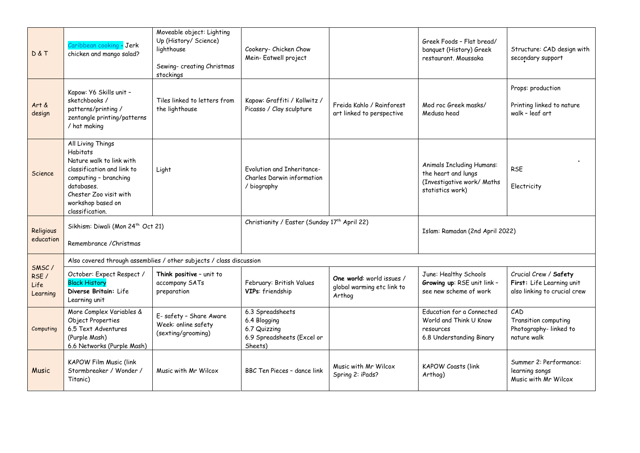| D&T                                | Caribbean cooking - Jerk<br>chicken and mango salad?                                                                                                                                                    | Moveable object: Lighting<br>Up (History/ Science)<br>lighthouse<br>Sewing- creating Christmas<br>stockings | Cookery- Chicken Chow<br>Mein-Eatwell project                                             |                                                                   | Greek Foods - Flat bread/<br>banquet (History) Greek<br>restaurant, Moussaka                              | Structure: CAD design with<br>secondary support                                    |  |
|------------------------------------|---------------------------------------------------------------------------------------------------------------------------------------------------------------------------------------------------------|-------------------------------------------------------------------------------------------------------------|-------------------------------------------------------------------------------------------|-------------------------------------------------------------------|-----------------------------------------------------------------------------------------------------------|------------------------------------------------------------------------------------|--|
| Art &<br>design                    | Kapow: Y6 Skills unit -<br>sketchbooks /<br>patterns/printing/<br>zentangle printing/patterns<br>/ hat making                                                                                           | Tiles linked to letters from<br>the lighthouse                                                              | Kapow: Graffiti / Kollwitz /<br>Picasso / Clay sculpture                                  | Freida Kahlo / Rainforest<br>art linked to perspective            | Mod roc Greek masks/<br>Medusa head                                                                       | Props: production<br>Printing linked to nature<br>walk - leaf art                  |  |
| Science                            | All Living Things<br><b>Habitats</b><br>Nature walk to link with<br>classification and link to<br>computing - branching<br>databases.<br>Chester Zoo visit with<br>workshop based on<br>classification. | Light                                                                                                       | Fvolution and Inheritance-<br>Charles Darwin information<br>/ biography                   |                                                                   | <b>Animals Including Humans:</b><br>the heart and lungs<br>(Investigative work/ Maths<br>statistics work) | <b>RSE</b><br>Electricity                                                          |  |
| Religious<br>education             | Sikhism: Diwali (Mon 24 <sup>th</sup> Oct 21)<br>Remembrance / Christmas                                                                                                                                |                                                                                                             | Christianity / Easter (Sunday 17 <sup>th</sup> April 22)                                  |                                                                   | Islam: Ramadan (2nd April 2022)                                                                           |                                                                                    |  |
| SMSC/<br>RSE /<br>Life<br>Learning | Also covered through assemblies / other subjects / class discussion                                                                                                                                     |                                                                                                             |                                                                                           |                                                                   |                                                                                                           |                                                                                    |  |
|                                    | October: Expect Respect /<br><b>Black History</b><br>Diverse Britain: Life<br>Learning unit                                                                                                             | Think positive - unit to<br>accompany SATs<br>preparation                                                   | February: British Values<br>VIPs: friendship                                              | One world: world issues /<br>global warming etc link to<br>Arthog | June: Healthy Schools<br>Growing up: RSE unit link -<br>see new scheme of work                            | Crucial Crew / Safety<br>First: Life Learning unit<br>also linking to crucial crew |  |
| Computing                          | More Complex Variables &<br>Object Properties<br>6.5 Text Adventures<br>(Purple Mash)<br>6.6 Networks (Purple Mash)                                                                                     | E- safety - Share Aware<br>Week: online safety<br>(sexting/grooming)                                        | 6.3 Spreadsheets<br>6.4 Blogging<br>6.7 Quizzing<br>6.9 Spreadsheets (Excel or<br>Sheets) |                                                                   | Education for a Connected<br>World and Think U Know<br>resources<br>6.8 Understanding Binary              | CAD<br>Transition computing<br>Photography-linked to<br>nature walk                |  |
| Music                              | <b>KAPOW Film Music (link</b><br>Stormbreaker / Wonder /<br>Titanic)                                                                                                                                    | Music with Mr Wilcox                                                                                        | BBC Ten Pieces - dance link                                                               | Music with Mr Wilcox<br>Spring 2: iPads?                          | <b>KAPOW Coasts (link</b><br>Arthog)                                                                      | Summer 2: Performance:<br>learning songs<br>Music with Mr Wilcox                   |  |